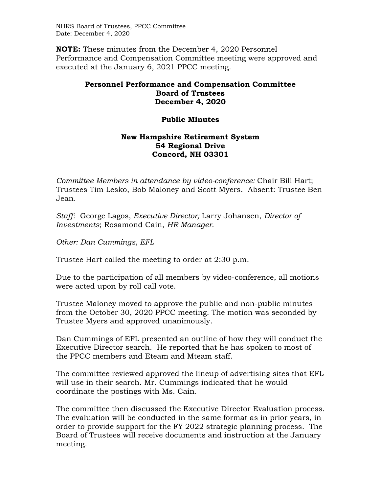NHRS Board of Trustees, PPCC Committee Date: December 4, 2020

**NOTE:** These minutes from the December 4, 2020 Personnel Performance and Compensation Committee meeting were approved and executed at the January 6, 2021 PPCC meeting.

## **Personnel Performance and Compensation Committee Board of Trustees December 4, 2020**

## **Public Minutes**

## **New Hampshire Retirement System 54 Regional Drive Concord, NH 03301**

*Committee Members in attendance by video-conference:* Chair Bill Hart; Trustees Tim Lesko, Bob Maloney and Scott Myers. Absent: Trustee Ben Jean.

*Staff:* George Lagos, *Executive Director;* Larry Johansen, *Director of Investments*; Rosamond Cain, *HR Manager*.

*Other: Dan Cummings, EFL* 

Trustee Hart called the meeting to order at 2:30 p.m.

Due to the participation of all members by video-conference, all motions were acted upon by roll call vote.

Trustee Maloney moved to approve the public and non-public minutes from the October 30, 2020 PPCC meeting. The motion was seconded by Trustee Myers and approved unanimously.

Dan Cummings of EFL presented an outline of how they will conduct the Executive Director search. He reported that he has spoken to most of the PPCC members and Eteam and Mteam staff.

The committee reviewed approved the lineup of advertising sites that EFL will use in their search. Mr. Cummings indicated that he would coordinate the postings with Ms. Cain.

The committee then discussed the Executive Director Evaluation process. The evaluation will be conducted in the same format as in prior years, in order to provide support for the FY 2022 strategic planning process. The Board of Trustees will receive documents and instruction at the January meeting.